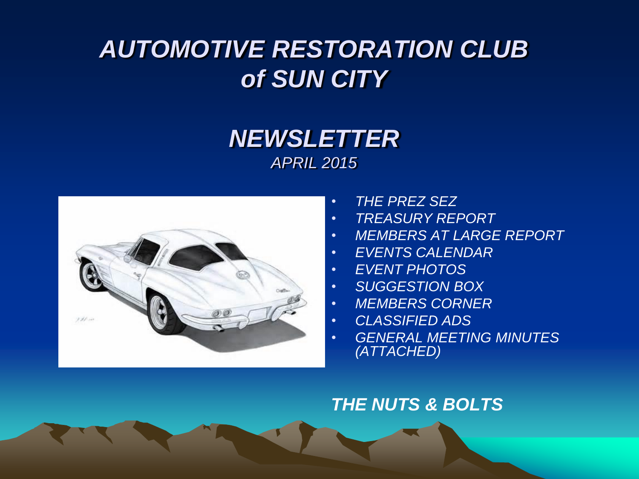## *AUTOMOTIVE RESTORATION CLUB of SUN CITY*

## *NEWSLETTER APRIL 2015*



- *THE PREZ SEZ*
- *TREASURY REPORT*
- *MEMBERS AT LARGE REPORT*
- *EVENTS CALENDAR*
- *EVENT PHOTOS*
- *SUGGESTION BOX*
- *MEMBERS CORNER*
- *CLASSIFIED ADS*
- *GENERAL MEETING MINUTES (ATTACHED)*

### *THE NUTS & BOLTS*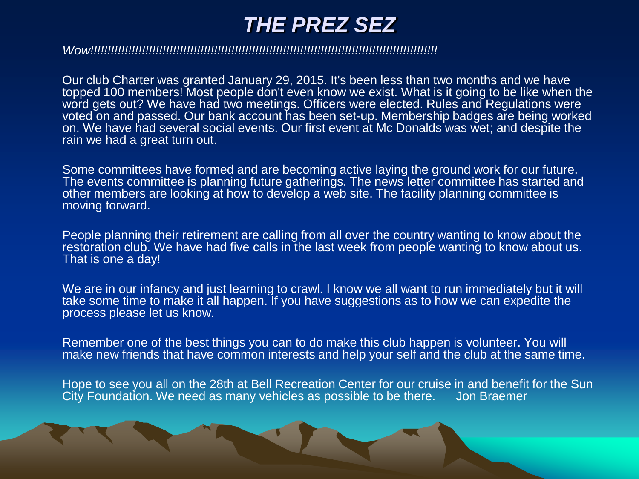## *THE PREZ SEZ*

#### *Wow!!!!!!!!!!!!!!!!!!!!!!!!!!!!!!!!!!!!!!!!!!!!!!!!!!!!!!!!!!!!!!!!!!!!!!!!!!!!!!!!!!!!!!!!!!!!!!!!!!!!!*

Our club Charter was granted January 29, 2015. It's been less than two months and we have topped 100 members! Most people don't even know we exist. What is it going to be like when the word gets out? We have had two meetings. Officers were elected. Rules and Regulations were voted on and passed. Our bank account has been set-up. Membership badges are being worked on. We have had several social events. Our first event at Mc Donalds was wet; and despite the rain we had a great turn out.

Some committees have formed and are becoming active laying the ground work for our future. The events committee is planning future gatherings. The news letter committee has started and other members are looking at how to develop a web site. The facility planning committee is moving forward.

People planning their retirement are calling from all over the country wanting to know about the restoration club. We have had five calls in the last week from people wanting to know about us. That is one a day!

We are in our infancy and just learning to crawl. I know we all want to run immediately but it will take some time to make it all happen. If you have suggestions as to how we can expedite the process please let us know.

Remember one of the best things you can to do make this club happen is volunteer. You will make new friends that have common interests and help your self and the club at the same time.

Hope to see you all on the 28th at Bell Recreation Center for our cruise in and benefit for the Sun<br>City Foundation, We need as many vehicles as possible to be there. Jon Braemer City Foundation. We need as many vehicles as possible to be there.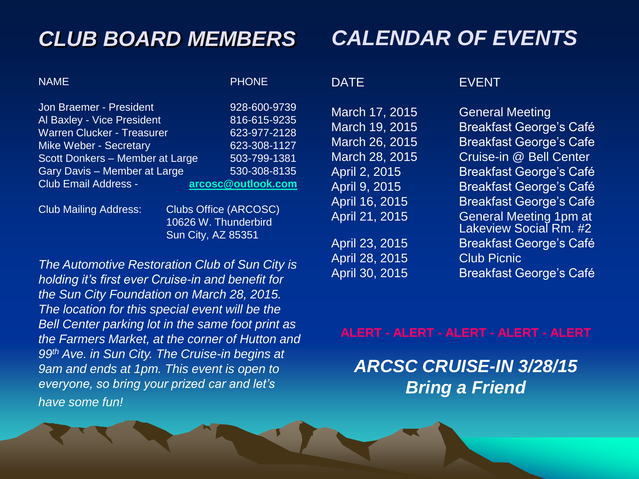## *CLUB BOARD MEMBERS*

## *CALENDAR OF EVENTS*

NAME PHONE

Jon Braemer - President 928-600-9739 Al Baxley - Vice President 816-615-9235 Warren Clucker - Treasurer 623-977-2128 Mike Weber - Secretary 623-308-1127 Scott Donkers – Member at Large 503-799-1381 Gary Davis – Member at Large 530-308-8135 Club Email Address - **[arcosc@outlook.com](mailto:arcosc@outlook.com)**

April 28, 2015 Club Picnic

### DATE EVENT

March 17, 2015 General Meeting March 19, 2015 Breakfast George's Café March 26, 2015 Breakfast George's Cafe March 28, 2015 Cruise-in @ Bell Center April 2, 2015 Breakfast George's Café April 9, 2015 Breakfast George's Café April 16, 2015 Breakfast George's Café April 21, 2015 General Meeting 1pm at Lakeview Social Rm. #2 April 23, 2015 Breakfast George's Café April 30, 2015 Breakfast George's Café

### **ALERT - ALERT - ALERT - ALERT - ALERT**

## *ARCSC CRUISE-IN 3/28/15 Bring a Friend*

#### Club Mailing Address: Clubs Office (ARCOSC)

10626 W. Thunderbird Sun City, AZ 85351

*The Automotive Restoration Club of Sun City is holding it's first ever Cruise-in and benefit for the Sun City Foundation on March 28, 2015. The location for this special event will be the Bell Center parking lot in the same foot print as the Farmers Market, at the corner of Hutton and 99th Ave. in Sun City. The Cruise-in begins at 9am and ends at 1pm. This event is open to everyone, so bring your prized car and let's have some fun!*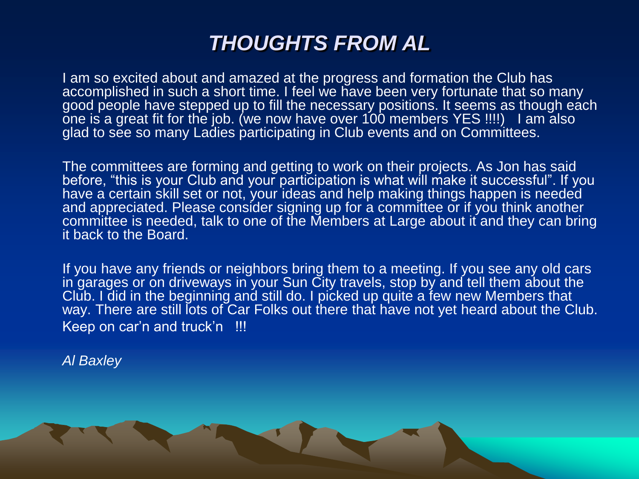## *THOUGHTS FROM AL*

I am so excited about and amazed at the progress and formation the Club has accomplished in such a short time. I feel we have been very fortunate that so many good people have stepped up to fill the necessary positions. It seems as though each one is a great fit for the job. (we now have over 100 members YES !!!!) I am also glad to see so many Ladies participating in Club events and on Committees.

The committees are forming and getting to work on their projects. As Jon has said before, "this is your Club and your participation is what will make it successful". If you have a certain skill set or not, your ideas and help making things happen is needed and appreciated. Please consider signing up for a committee or if you think another committee is needed, talk to one of the Members at Large about it and they can bring it back to the Board.

If you have any friends or neighbors bring them to a meeting. If you see any old cars in garages or on driveways in your Sun City travels, stop by and tell them about the Club. I did in the beginning and still do. I picked up quite a few new Members that way. There are still lots of Car Folks out there that have not yet heard about the Club. Keep on car'n and truck'n !!!

*Al Baxley*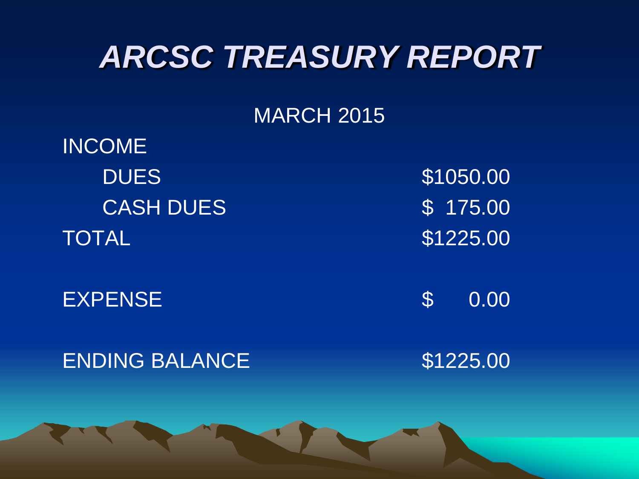## *ARCSC TREASURY REPORT*

## MARCH 2015

INCOME DUES \$1050.00 CASH DUES \$ 175.00 TOTAL 31225.00

EXPENSE \$ 0.00

ENDING BALANCE \$1225.00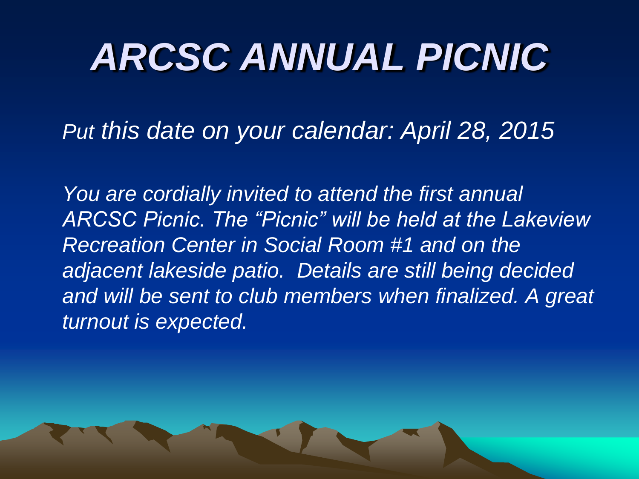# *ARCSC ANNUAL PICNIC*

*Put this date on your calendar: April 28, 2015*

*You are cordially invited to attend the first annual ARCSC Picnic. The "Picnic" will be held at the Lakeview Recreation Center in Social Room #1 and on the adjacent lakeside patio. Details are still being decided*  and will be sent to club members when finalized. A great *turnout is expected.*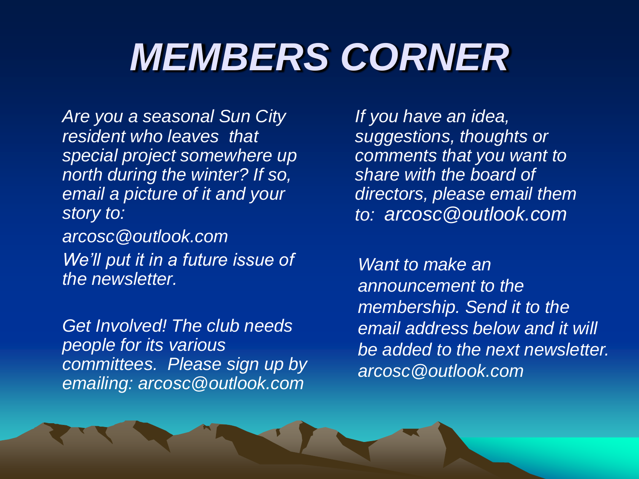# *MEMBERS CORNER*

*Are you a seasonal Sun City resident who leaves that special project somewhere up north during the winter? If so, email a picture of it and your story to:* 

*arcosc@outlook.com We'll put it in a future issue of the newsletter.* 

*Get Involved! The club needs people for its various committees. Please sign up by emailing: arcosc@outlook.com*

*If you have an idea, suggestions, thoughts or comments that you want to share with the board of directors, please email them to: arcosc@outlook.com*

*Want to make an announcement to the membership. Send it to the email address below and it will be added to the next newsletter. arcosc@outlook.com*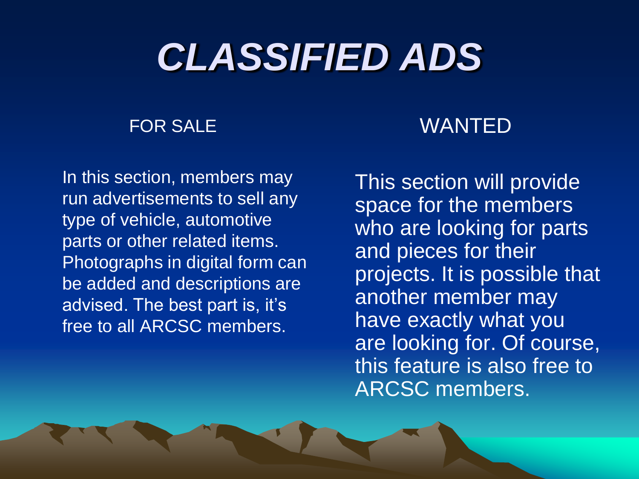# *CLASSIFIED ADS*

### FOR SALE

In this section, members may run advertisements to sell any type of vehicle, automotive parts or other related items. Photographs in digital form can be added and descriptions are advised. The best part is, it's free to all ARCSC members.

## WANTED

This section will provide space for the members who are looking for parts and pieces for their projects. It is possible that another member may have exactly what you are looking for. Of course, this feature is also free to ARCSC members.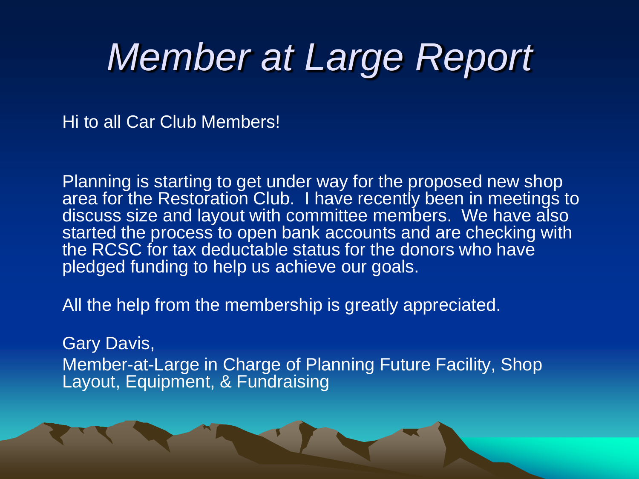## *Member at Large Report*

Hi to all Car Club Members!

Planning is starting to get under way for the proposed new shop area for the Restoration Club. I have recently been in meetings to discuss size and layout with committee members. We have also started the process to open bank accounts and are checking with the RCSC for tax deductable status for the donors who have pledged funding to help us achieve our goals.

All the help from the membership is greatly appreciated.

Gary Davis, Member-at-Large in Charge of Planning Future Facility, Shop Layout, Equipment, & Fundraising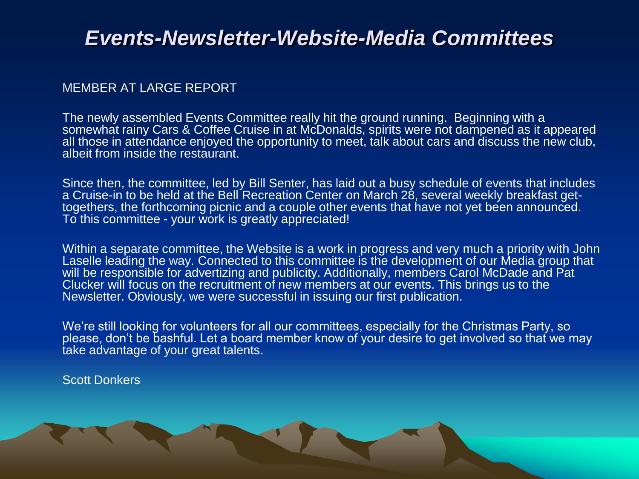## *Events-Newsletter-Website-Media Committees*

### MEMBER AT LARGE REPORT

The newly assembled Events Committee really hit the ground running. Beginning with a somewhat rainy Cars & Coffee Cruise in at McDonalds, spirits were not dampened as it appeared all those in attendance enjoyed the opportunity to meet, talk about cars and discuss the new club, albeit from inside the restaurant.

Since then, the committee, led by Bill Senter, has laid out a busy schedule of events that includes a Cruise-in to be held at the Bell Recreation Center on March 28, several weekly breakfast gettogethers, the forthcoming picnic and a couple other events that have not yet been announced. To this committee - your work is greatly appreciated!

Within a separate committee, the Website is a work in progress and very much a priority with John Laselle leading the way. Connected to this committee is the development of our Media group that will be responsible for advertizing and publicity. Additionally, members Carol McDade and Pat Clucker will focus on the recruitment of new members at our events. This brings us to the Newsletter. Obviously, we were successful in issuing our first publication.

We're still looking for volunteers for all our committees, especially for the Christmas Party, so please, don't be bashful. Let a board member know of your desire to get involved so that we may take advantage of your great talents.

Scott Donkers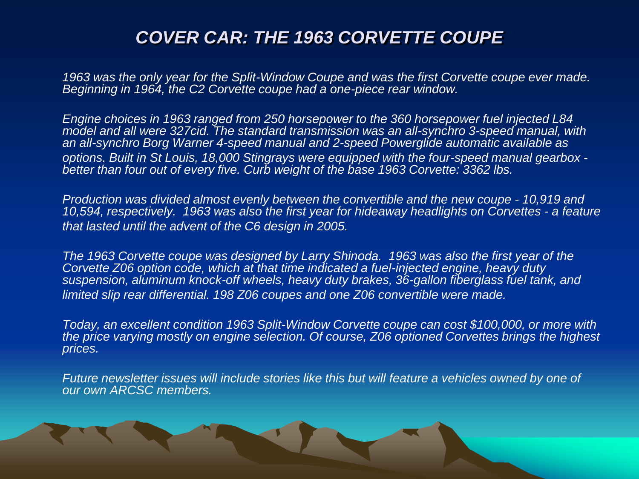### *COVER CAR: THE 1963 CORVETTE COUPE*

*1963 was the only year for the Split-Window Coupe and was the first Corvette coupe ever made. Beginning in 1964, the C2 Corvette coupe had a one-piece rear window.*

*Engine choices in 1963 ranged from 250 horsepower to the 360 horsepower fuel injected L84 model and all were 327cid. The standard transmission was an all-synchro 3-speed manual, with an all-synchro Borg Warner 4-speed manual and 2-speed Powerglide automatic available as options. Built in St Louis, 18,000 Stingrays were equipped with the four-speed manual gearbox better than four out of every five. Curb weight of the base 1963 Corvette: 3362 lbs.*

*Production was divided almost evenly between the convertible and the new coupe - 10,919 and 10,594, respectively. 1963 was also the first year for hideaway headlights on Corvettes - a feature that lasted until the advent of the C6 design in 2005.*

*The 1963 Corvette coupe was designed by Larry Shinoda. 1963 was also the first year of the Corvette Z06 option code, which at that time indicated a fuel-injected engine, heavy duty suspension, aluminum knock-off wheels, heavy duty brakes, 36-gallon fiberglass fuel tank, and limited slip rear differential. 198 Z06 coupes and one Z06 convertible were made.*

*Today, an excellent condition 1963 Split-Window Corvette coupe can cost \$100,000, or more with the price varying mostly on engine selection. Of course, Z06 optioned Corvettes brings the highest prices.*

*Future newsletter issues will include stories like this but will feature a vehicles owned by one of our own ARCSC members.*